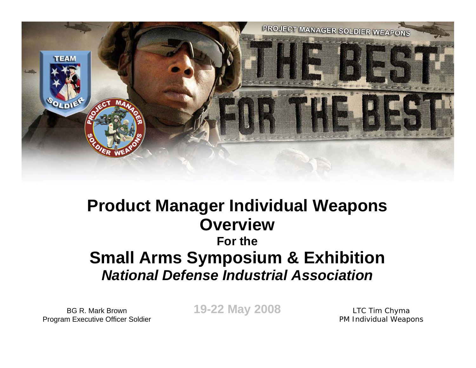

### **Product Manager Individual Weapons OverviewFor theSmall Arms Symposium & Exhibition** *National Defense Industrial Association*

BG R. Mark BrownProgram Executive Officer Soldier **19-22 May 2008**

LTC Tim Chyma PM Individual Weapons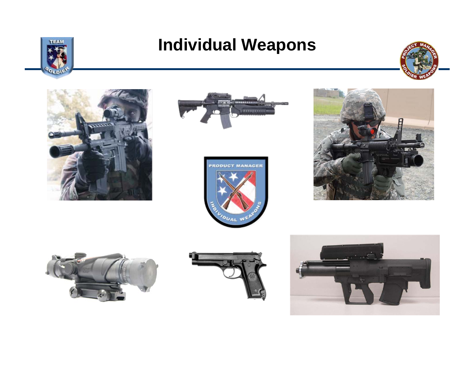

### **Individual Weapons**















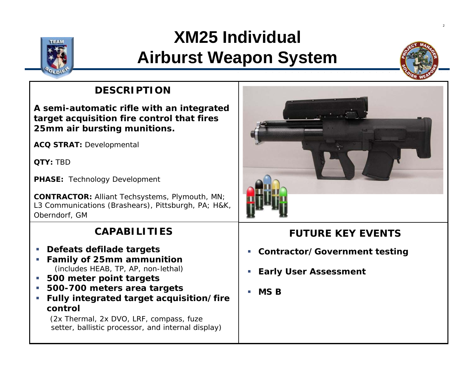

### **XM25 Individual Airburst Weapon System**



2

### **DESCRIPTION**

**A semi-automatic rifle with an integrated target acquisition fire control that fires 25mm air bursting munitions.**

**ACQ STRAT:** Developmental

**QTY:** TBD

**PHASE:** Technology Development

**CONTRACTOR:** Alliant Techsystems, Plymouth, MN; L3 Communications (Brashears), Pittsburgh, PA; H&K, Oberndorf, GM

#### **CAPABILITIES**

- **Defeats defilade targets**
- **Family of 25mm ammunition** (includes HEAB, TP, AP, non-lethal)
- $\mathcal{L}_{\mathcal{A}}$ **500 meter point targets**
- **500-700 meters area targets**
- $\overline{\phantom{a}}$  **Fully integrated target acquisition/fire control**

(2x Thermal, 2x DVO, LRF, compass, fuze setter, ballistic processor, and internal display)



- Ī. **Contractor/Government testing**
- L. **Early User Assessment**
- É. **MS B**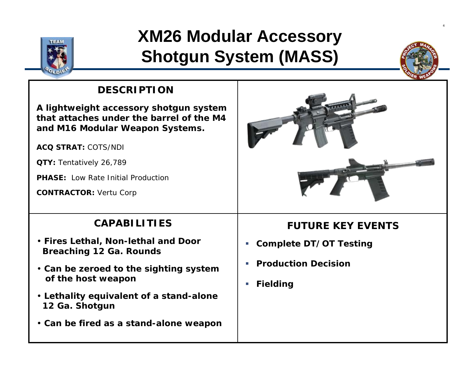

## **XM26 Modular Accessory Shotgun System (MASS)**



4

### **DESCRIPTION**

**A lightweight accessory shotgun system that attaches under the barrel of the M4and M16 Modular Weapon Systems.**

**ACQ STRAT:** COTS/NDI

**QTY:** Tentatively 26,789

**PHASE:** Low Rate Initial Production

**CONTRACTOR:** Vertu Corp

#### **CAPABILITIES**

- **Fires Lethal, Non-lethal and Door Breaching 12 Ga. Rounds**
- **Can be zeroed to the sighting system of the host weapon**
- **Lethality equivalent of a stand-alone 12 Ga. Shotgun**
- **Can be fired as a stand-alone weapon**



- **Complete DT/OT Testing**
- **Production Decision**
- г **Fielding**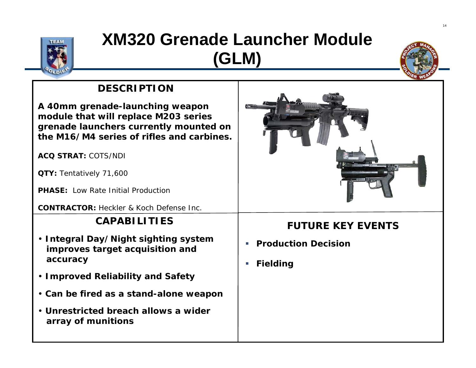

### **XM320 Grenade Launcher Module (GLM)**



### **DESCRIPTION**

**A 40mm grenade-launching weapon module that will replace M203 series grenade launchers currently mounted on the M16/M4 series of rifles and carbines.**

**ACQ STRAT:** COTS/NDI

**QTY:** Tentatively 71,600

**PHASE:** Low Rate Initial Production

**CONTRACTOR:** Heckler & Koch Defense Inc.

### **CAPABILITIES**

- **Integral Day/Night sighting system improves target acquisition and accuracy**
- **Improved Reliability and Safety**
- **Can be fired as a stand-alone weapon**
- **Unrestricted breach allows a wider array of munitions**



- **Production Decision**
- **Fielding**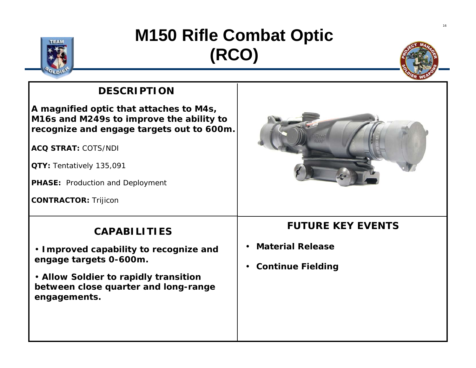

## **M150 Rifle Combat Optic (RCO)**



### **DESCRIPTION**

**A magnified optic that attaches to M4s, M16s and M249s to improve the ability to recognize and engage targets out to 600m.** 

**ACQ STRAT:** COTS/NDI

**QTY:** Tentatively 135,091

**PHASE:** Production and Deployment

**CONTRACTOR:** Trijicon

### **CAPABILITIES**

• **Improved capability to recognize and engage targets 0-600m.**

• **Allow Soldier to rapidly transition between close quarter and long-range engagements.**

- **Material Release**
- •**Continue Fielding**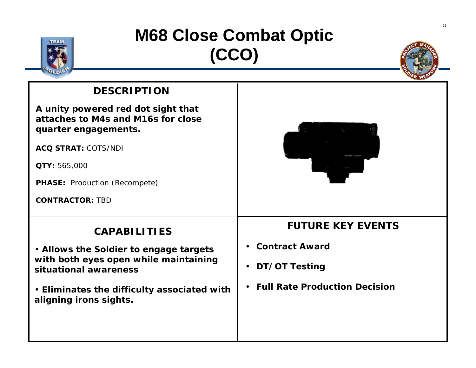

## **M68 Close Combat Optic (CCO)**



#### **DESCRIPTION**

**A unity powered red dot sight that attaches to M4s and M16s for close quarter engagements.** 

**ACQ STRAT:** COTS/NDI

**QTY:** 565,000

**PHASE:** Production (Recompete)

**CONTRACTOR:** TBD

#### **CAPABILITIES**

• **Allows the Soldier to engage targets with both eyes open while maintaining situational awareness**

• **Eliminates the difficulty associated with aligning irons sights.**

- **Contract Award**
- **DT/OT Testing**
- **Full Rate Production Decision**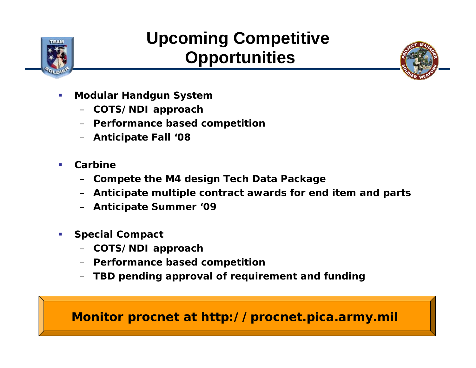

## **Upcoming Competitive Opportunities**



- $\overline{\phantom{a}}$  **Modular Handgun System**
	- **COTS/NDI approach**
	- **Performance based competition**
	- **Anticipate Fall '08**
- $\mathcal{A}$  **Carbine**
	- –**Compete the M4 design Tech Data Package**
	- **Anticipate multiple contract awards for end item and parts**
	- **Anticipate Summer '09**
- **Special Compact**
	- –**COTS/NDI approach**
	- **Performance based competition**
	- **TBD pending approval of requirement and funding**

### **Monitor procnet at http://procnet.pica.army.mil**